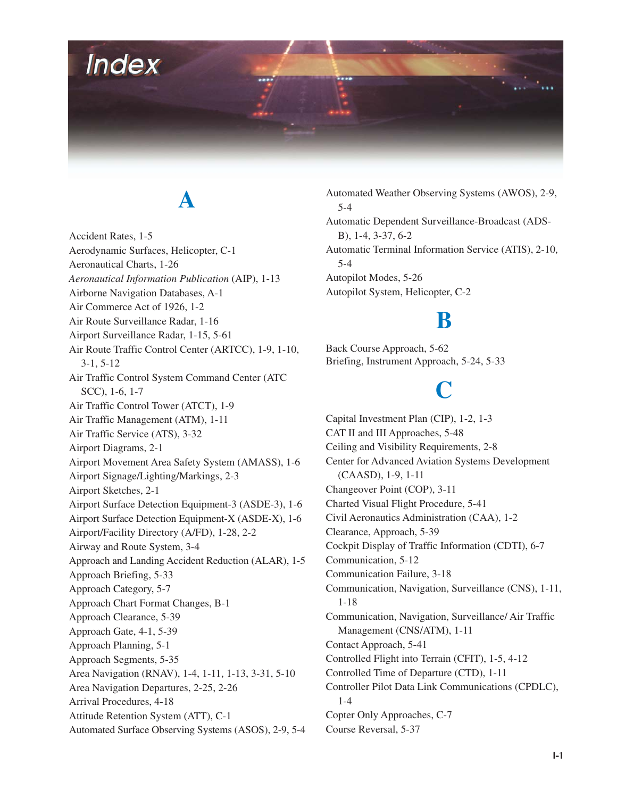

## **A**

Accident Rates, 1-5 Aerodynamic Surfaces, Helicopter, C-1 Aeronautical Charts, 1-26 *Aeronautical Information Publication* (AIP), 1-13 Airborne Navigation Databases, A-1 Air Commerce Act of 1926, 1-2 Air Route Surveillance Radar, 1-16 Airport Surveillance Radar, 1-15, 5-61 Air Route Traffic Control Center (ARTCC), 1-9, 1-10, 3-1, 5-12 Air Traffic Control System Command Center (ATC SCC), 1-6, 1-7 Air Traffic Control Tower (ATCT), 1-9 Air Traffic Management (ATM), 1-11 Air Traffic Service (ATS), 3-32 Airport Diagrams, 2-1 Airport Movement Area Safety System (AMASS), 1-6 Airport Signage/Lighting/Markings, 2-3 Airport Sketches, 2-1 Airport Surface Detection Equipment-3 (ASDE-3), 1-6 Airport Surface Detection Equipment-X (ASDE-X), 1-6 Airport/Facility Directory (A/FD), 1-28, 2-2 Airway and Route System, 3-4 Approach and Landing Accident Reduction (ALAR), 1-5 Approach Briefing, 5-33 Approach Category, 5-7 Approach Chart Format Changes, B-1 Approach Clearance, 5-39 Approach Gate, 4-1, 5-39 Approach Planning, 5-1 Approach Segments, 5-35 Area Navigation (RNAV), 1-4, 1-11, 1-13, 3-31, 5-10 Area Navigation Departures, 2-25, 2-26 Arrival Procedures, 4-18 Attitude Retention System (ATT), C-1 Automated Surface Observing Systems (ASOS), 2-9, 5-4

Automated Weather Observing Systems (AWOS), 2-9, 5-4 Automatic Dependent Surveillance-Broadcast (ADS-B), 1-4, 3-37, 6-2 Automatic Terminal Information Service (ATIS), 2-10, 5-4 Autopilot Modes, 5-26 Autopilot System, Helicopter, C-2

#### **B**

Back Course Approach, 5-62 Briefing, Instrument Approach, 5-24, 5-33

## **C**

Capital Investment Plan (CIP), 1-2, 1-3 CAT II and III Approaches, 5-48 Ceiling and Visibility Requirements, 2-8 Center for Advanced Aviation Systems Development (CAASD), 1-9, 1-11 Changeover Point (COP), 3-11 Charted Visual Flight Procedure, 5-41 Civil Aeronautics Administration (CAA), 1-2 Clearance, Approach, 5-39 Cockpit Display of Traffic Information (CDTI), 6-7 Communication, 5-12 Communication Failure, 3-18 Communication, Navigation, Surveillance (CNS), 1-11, 1-18 Communication, Navigation, Surveillance/ Air Traffic Management (CNS/ATM), 1-11 Contact Approach, 5-41 Controlled Flight into Terrain (CFIT), 1-5, 4-12 Controlled Time of Departure (CTD), 1-11 Controller Pilot Data Link Communications (CPDLC), 1-4 Copter Only Approaches, C-7 Course Reversal, 5-37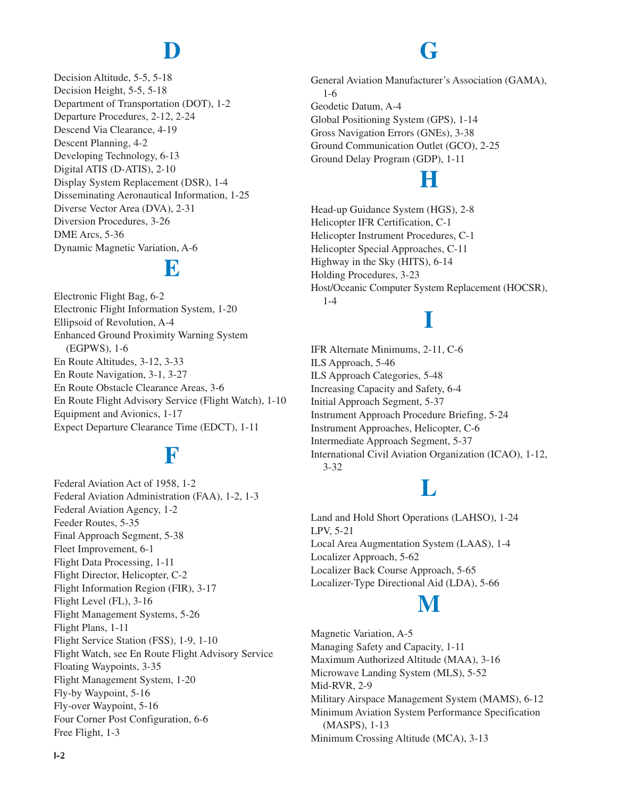# **D**

Decision Altitude, 5-5, 5-18 Decision Height, 5-5, 5-18 Department of Transportation (DOT), 1-2 Departure Procedures, 2-12, 2-24 Descend Via Clearance, 4-19 Descent Planning, 4-2 Developing Technology, 6-13 Digital ATIS (D-ATIS), 2-10 Display System Replacement (DSR), 1-4 Disseminating Aeronautical Information, 1-25 Diverse Vector Area (DVA), 2-31 Diversion Procedures, 3-26 DME Arcs, 5-36 Dynamic Magnetic Variation, A-6

### **E**

Electronic Flight Bag, 6-2 Electronic Flight Information System, 1-20 Ellipsoid of Revolution, A-4 Enhanced Ground Proximity Warning System (EGPWS), 1-6 En Route Altitudes, 3-12, 3-33 En Route Navigation, 3-1, 3-27 En Route Obstacle Clearance Areas, 3-6 En Route Flight Advisory Service (Flight Watch), 1-10 Equipment and Avionics, 1-17 Expect Departure Clearance Time (EDCT), 1-11

#### **F**

Federal Aviation Act of 1958, 1-2 Federal Aviation Administration (FAA), 1-2, 1-3 Federal Aviation Agency, 1-2 Feeder Routes, 5-35 Final Approach Segment, 5-38 Fleet Improvement, 6-1 Flight Data Processing, 1-11 Flight Director, Helicopter, C-2 Flight Information Region (FIR), 3-17 Flight Level (FL), 3-16 Flight Management Systems, 5-26 Flight Plans, 1-11 Flight Service Station (FSS), 1-9, 1-10 Flight Watch, see En Route Flight Advisory Service Floating Waypoints, 3-35 Flight Management System, 1-20 Fly-by Waypoint, 5-16 Fly-over Waypoint, 5-16 Four Corner Post Configuration, 6-6 Free Flight, 1-3

## **G**

General Aviation Manufacturer's Association (GAMA), 1-6 Geodetic Datum, A-4 Global Positioning System (GPS), 1-14 Gross Navigation Errors (GNEs), 3-38 Ground Communication Outlet (GCO), 2-25 Ground Delay Program (GDP), 1-11

## **H**

Head-up Guidance System (HGS), 2-8 Helicopter IFR Certification, C-1 Helicopter Instrument Procedures, C-1 Helicopter Special Approaches, C-11 Highway in the Sky (HITS), 6-14 Holding Procedures, 3-23 Host/Oceanic Computer System Replacement (HOCSR), 1-4

# **I**

IFR Alternate Minimums, 2-11, C-6 ILS Approach, 5-46 ILS Approach Categories, 5-48 Increasing Capacity and Safety, 6-4 Initial Approach Segment, 5-37 Instrument Approach Procedure Briefing, 5-24 Instrument Approaches, Helicopter, C-6 Intermediate Approach Segment, 5-37 International Civil Aviation Organization (ICAO), 1-12, 3-32

### **L**

Land and Hold Short Operations (LAHSO), 1-24 LPV, 5-21 Local Area Augmentation System (LAAS), 1-4 Localizer Approach, 5-62 Localizer Back Course Approach, 5-65 Localizer-Type Directional Aid (LDA), 5-66

### **M**

Magnetic Variation, A-5 Managing Safety and Capacity, 1-11 Maximum Authorized Altitude (MAA), 3-16 Microwave Landing System (MLS), 5-52 Mid-RVR, 2-9 Military Airspace Management System (MAMS), 6-12 Minimum Aviation System Performance Specification (MASPS), 1-13 Minimum Crossing Altitude (MCA), 3-13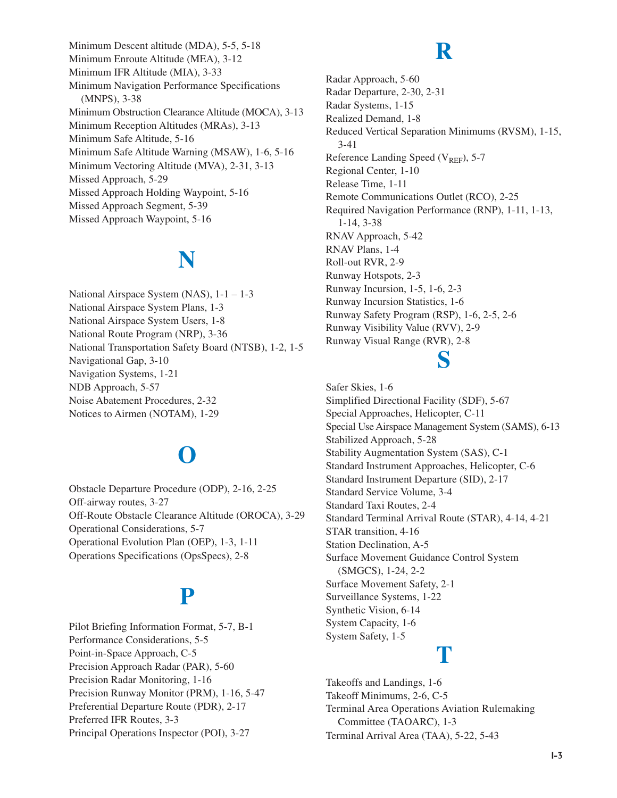Minimum Descent altitude (MDA), 5-5, 5-18 Minimum Enroute Altitude (MEA), 3-12 Minimum IFR Altitude (MIA), 3-33 Minimum Navigation Performance Specifications (MNPS), 3-38 Minimum Obstruction Clearance Altitude (MOCA), 3-13 Minimum Reception Altitudes (MRAs), 3-13 Minimum Safe Altitude, 5-16 Minimum Safe Altitude Warning (MSAW), 1-6, 5-16 Minimum Vectoring Altitude (MVA), 2-31, 3-13 Missed Approach, 5-29 Missed Approach Holding Waypoint, 5-16 Missed Approach Segment, 5-39 Missed Approach Waypoint, 5-16

# **N**

National Airspace System (NAS), 1-1 – 1-3 National Airspace System Plans, 1-3 National Airspace System Users, 1-8 National Route Program (NRP), 3-36 National Transportation Safety Board (NTSB), 1-2, 1-5 Navigational Gap, 3-10 Navigation Systems, 1-21 NDB Approach, 5-57 Noise Abatement Procedures, 2-32 Notices to Airmen (NOTAM), 1-29

# **O**

Obstacle Departure Procedure (ODP), 2-16, 2-25 Off-airway routes, 3-27 Off-Route Obstacle Clearance Altitude (OROCA), 3-29 Operational Considerations, 5-7 Operational Evolution Plan (OEP), 1-3, 1-11 Operations Specifications (OpsSpecs), 2-8

### **P**

Pilot Briefing Information Format, 5-7, B-1 Performance Considerations, 5-5 Point-in-Space Approach, C-5 Precision Approach Radar (PAR), 5-60 Precision Radar Monitoring, 1-16 Precision Runway Monitor (PRM), 1-16, 5-47 Preferential Departure Route (PDR), 2-17 Preferred IFR Routes, 3-3 Principal Operations Inspector (POI), 3-27

### **R**

Radar Approach, 5-60 Radar Departure, 2-30, 2-31 Radar Systems, 1-15 Realized Demand, 1-8 Reduced Vertical Separation Minimums (RVSM), 1-15, 3-41 Reference Landing Speed  $(V_{REF}$ , 5-7 Regional Center, 1-10 Release Time, 1-11 Remote Communications Outlet (RCO), 2-25 Required Navigation Performance (RNP), 1-11, 1-13, 1-14, 3-38 RNAV Approach, 5-42 RNAV Plans, 1-4 Roll-out RVR, 2-9 Runway Hotspots, 2-3 Runway Incursion, 1-5, 1-6, 2-3 Runway Incursion Statistics, 1-6 Runway Safety Program (RSP), 1-6, 2-5, 2-6 Runway Visibility Value (RVV), 2-9 Runway Visual Range (RVR), 2-8

#### **S**

Safer Skies, 1-6 Simplified Directional Facility (SDF), 5-67 Special Approaches, Helicopter, C-11 Special Use Airspace Management System (SAMS), 6-13 Stabilized Approach, 5-28 Stability Augmentation System (SAS), C-1 Standard Instrument Approaches, Helicopter, C-6 Standard Instrument Departure (SID), 2-17 Standard Service Volume, 3-4 Standard Taxi Routes, 2-4 Standard Terminal Arrival Route (STAR), 4-14, 4-21 STAR transition, 4-16 Station Declination, A-5 Surface Movement Guidance Control System (SMGCS), 1-24, 2-2 Surface Movement Safety, 2-1 Surveillance Systems, 1-22 Synthetic Vision, 6-14 System Capacity, 1-6 System Safety, 1-5

#### **T**

Takeoffs and Landings, 1-6 Takeoff Minimums, 2-6, C-5 Terminal Area Operations Aviation Rulemaking Committee (TAOARC), 1-3 Terminal Arrival Area (TAA), 5-22, 5-43